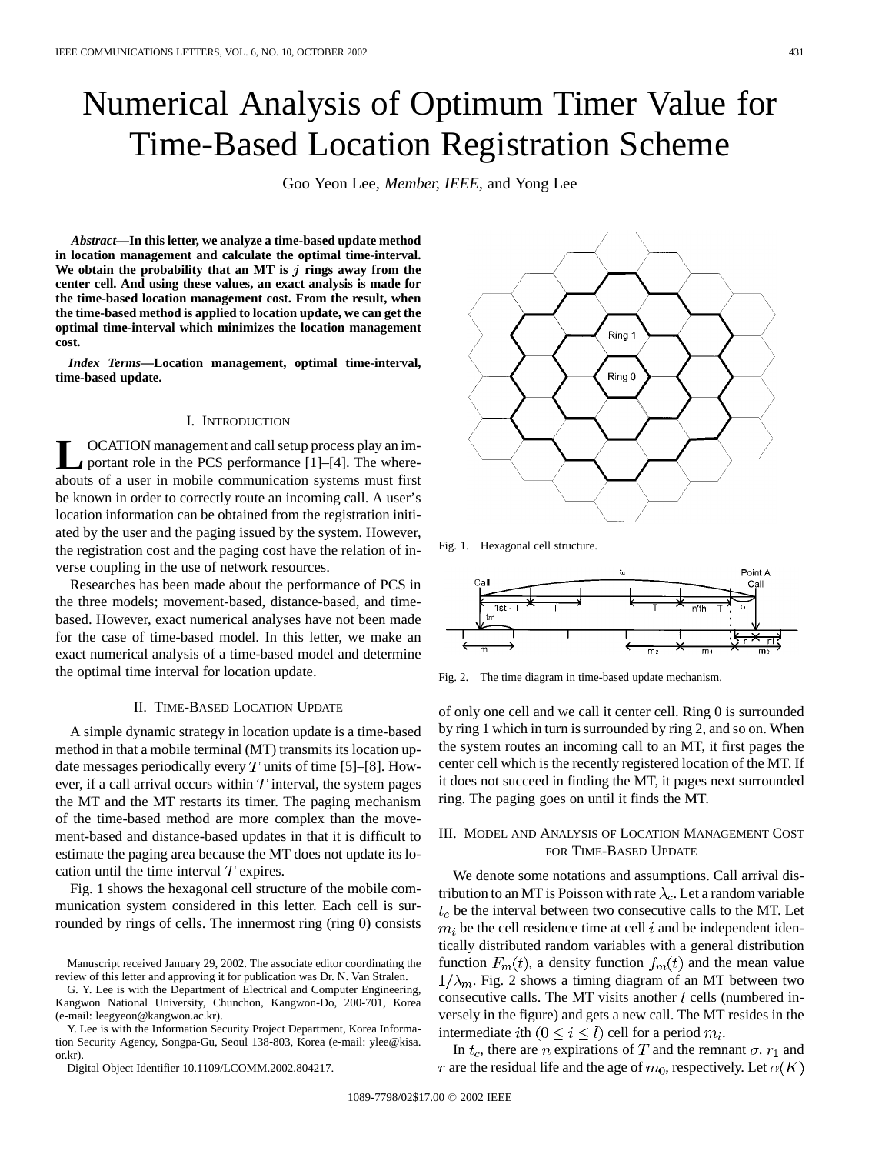# Numerical Analysis of Optimum Timer Value for Time-Based Location Registration Scheme

Goo Yeon Lee*, Member, IEEE,* and Yong Lee

*Abstract—***In this letter, we analyze a time-based update method in location management and calculate the optimal time-interval.** We obtain the probability that an MT is  $j$  rings away from the **center cell. And using these values, an exact analysis is made for the time-based location management cost. From the result, when the time-based method is applied to location update, we can get the optimal time-interval which minimizes the location management cost.**

*Index Terms—***Location management, optimal time-interval, time-based update.**

## I. INTRODUCTION

**L** OCATION management and call setup process play an im-<br>portant role in the PCS performance [1]–[4]. The whereabouts of a user in mobile communication systems must first be known in order to correctly route an incoming call. A user's location information can be obtained from the registration initiated by the user and the paging issued by the system. However, the registration cost and the paging cost have the relation of inverse coupling in the use of network resources.

Researches has been made about the performance of PCS in the three models; movement-based, distance-based, and timebased. However, exact numerical analyses have not been made for the case of time-based model. In this letter, we make an exact numerical analysis of a time-based model and determine the optimal time interval for location update.

## II. TIME-BASED LOCATION UPDATE

A simple dynamic strategy in location update is a time-based method in that a mobile terminal (MT) transmits its location update messages periodically every  $T$  units of time [5]–[8]. However, if a call arrival occurs within  $T$  interval, the system pages the MT and the MT restarts its timer. The paging mechanism of the time-based method are more complex than the movement-based and distance-based updates in that it is difficult to estimate the paging area because the MT does not update its location until the time interval  $T$  expires.

Fig. 1 shows the hexagonal cell structure of the mobile communication system considered in this letter. Each cell is surrounded by rings of cells. The innermost ring (ring 0) consists

G. Y. Lee is with the Department of Electrical and Computer Engineering, Kangwon National University, Chunchon, Kangwon-Do, 200-701, Korea (e-mail: leegyeon@kangwon.ac.kr).

Y. Lee is with the Information Security Project Department, Korea Information Security Agency, Songpa-Gu, Seoul 138-803, Korea (e-mail: ylee@kisa. or.kr).

Digital Object Identifier 10.1109/LCOMM.2002.804217.



Fig. 1. Hexagonal cell structure.



Fig. 2. The time diagram in time-based update mechanism.

of only one cell and we call it center cell. Ring 0 is surrounded by ring 1 which in turn is surrounded by ring 2, and so on. When the system routes an incoming call to an MT, it first pages the center cell which is the recently registered location of the MT. If it does not succeed in finding the MT, it pages next surrounded ring. The paging goes on until it finds the MT.

# III. MODEL AND ANALYSIS OF LOCATION MANAGEMENT COST FOR TIME-BASED UPDATE

We denote some notations and assumptions. Call arrival distribution to an MT is Poisson with rate  $\lambda_c$ . Let a random variable  $t_c$  be the interval between two consecutive calls to the MT. Let  $m_i$  be the cell residence time at cell i and be independent identically distributed random variables with a general distribution function  $F_m(t)$ , a density function  $f_m(t)$  and the mean value  $1/\lambda_m$ . Fig. 2 shows a timing diagram of an MT between two consecutive calls. The MT visits another  $l$  cells (numbered inversely in the figure) and gets a new call. The MT resides in the intermediate *i*th  $(0 \le i \le l)$  cell for a period  $m_i$ .

In  $t_c$ , there are *n* expirations of T and the remnant  $\sigma$ .  $r_1$  and r are the residual life and the age of  $m_0$ , respectively. Let  $\alpha(K)$ 

Manuscript received January 29, 2002. The associate editor coordinating the review of this letter and approving it for publication was Dr. N. Van Stralen.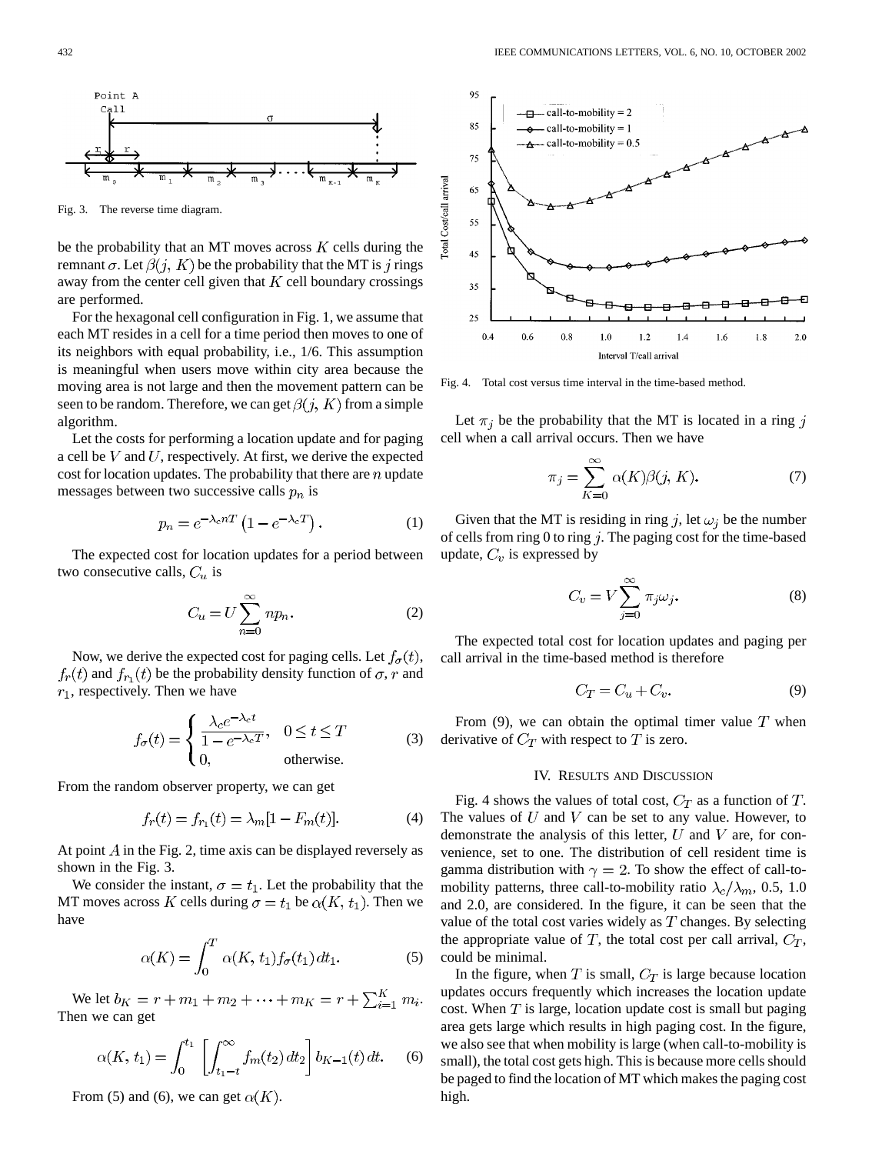

Fig. 3. The reverse time diagram.

be the probability that an MT moves across  $K$  cells during the remnant  $\sigma$ . Let  $\beta(j, K)$  be the probability that the MT is j rings away from the center cell given that  $K$  cell boundary crossings are performed.

For the hexagonal cell configuration in Fig. 1, we assume that each MT resides in a cell for a time period then moves to one of its neighbors with equal probability, i.e., 1/6. This assumption is meaningful when users move within city area because the moving area is not large and then the movement pattern can be seen to be random. Therefore, we can get  $\beta(j, K)$  from a simple algorithm.

Let the costs for performing a location update and for paging a cell be  $V$  and  $U$ , respectively. At first, we derive the expected cost for location updates. The probability that there are  $n$  update messages between two successive calls  $p_n$  is

$$
p_n = e^{-\lambda_c nT} \left( 1 - e^{-\lambda_c T} \right). \tag{1}
$$

The expected cost for location updates for a period between two consecutive calls,  $C_u$  is

$$
C_u = U \sum_{n=0}^{\infty} n p_n.
$$
 (2)

Now, we derive the expected cost for paging cells. Let  $f_{\sigma}(t)$ ,  $f_r(t)$  and  $f_{r_1}(t)$  be the probability density function of  $\sigma$ , r and  $r_1$ , respectively. Then we have

$$
f_{\sigma}(t) = \begin{cases} \frac{\lambda_c e^{-\lambda_c t}}{1 - e^{-\lambda_c T}}, & 0 \le t \le T \\ 0, & \text{otherwise.} \end{cases}
$$
 (3)

From the random observer property, we can get

$$
f_r(t) = f_{r_1}(t) = \lambda_m [1 - F_m(t)].
$$
 (4)

At point  $\vec{A}$  in the Fig. 2, time axis can be displayed reversely as shown in the Fig. 3.

We consider the instant,  $\sigma = t_1$ . Let the probability that the MT moves across K cells during  $\sigma = t_1$  be  $\alpha(K, t_1)$ . Then we have

$$
\alpha(K) = \int_0^T \alpha(K, t_1) f_{\sigma}(t_1) dt_1.
$$
 (5)

We let  $b_K = r + m_1 + m_2 + \cdots + m_K = r + \sum_{i=1}^K m_i$ . Then we can get

$$
\alpha(K, t_1) = \int_0^{t_1} \left[ \int_{t_1 - t}^{\infty} f_m(t_2) dt_2 \right] b_{K-1}(t) dt.
$$
 (6)

From (5) and (6), we can get  $\alpha(K)$ .



Fig. 4. Total cost versus time interval in the time-based method.

Let  $\pi_j$  be the probability that the MT is located in a ring j cell when a call arrival occurs. Then we have

$$
\pi_j = \sum_{K=0}^{\infty} \alpha(K)\beta(j, K). \tag{7}
$$

Given that the MT is residing in ring j, let  $\omega_j$  be the number of cells from ring 0 to ring  $j$ . The paging cost for the time-based update,  $C_v$  is expressed by

$$
C_v = V \sum_{j=0}^{\infty} \pi_j \omega_j.
$$
 (8)

The expected total cost for location updates and paging per call arrival in the time-based method is therefore

$$
C_T = C_u + C_v.
$$
 (9)

From (9), we can obtain the optimal timer value  $T$  when derivative of  $C_T$  with respect to  $T$  is zero.

### IV. RESULTS AND DISCUSSION

Fig. 4 shows the values of total cost,  $C_T$  as a function of  $T$ . The values of  $U$  and  $V$  can be set to any value. However, to demonstrate the analysis of this letter,  $U$  and  $V$  are, for convenience, set to one. The distribution of cell resident time is gamma distribution with  $\gamma = 2$ . To show the effect of call-tomobility patterns, three call-to-mobility ratio  $\lambda_c/\lambda_m$ , 0.5, 1.0 and 2.0, are considered. In the figure, it can be seen that the value of the total cost varies widely as  $T$  changes. By selecting the appropriate value of T, the total cost per call arrival,  $C_T$ , could be minimal.

In the figure, when  $T$  is small,  $C_T$  is large because location updates occurs frequently which increases the location update cost. When  $T$  is large, location update cost is small but paging area gets large which results in high paging cost. In the figure, we also see that when mobility is large (when call-to-mobility is small), the total cost gets high. This is because more cells should be paged to find the location of MT which makes the paging cost high.